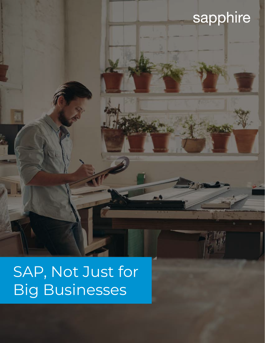# sapphire

 $\mathcal{F}$  is

# SAP, Not Just for Big Businesses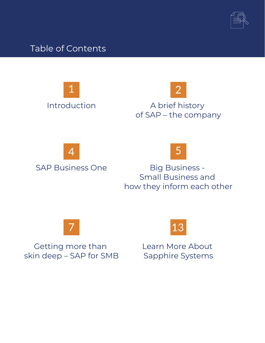

Table of Contents





# A brief history of SAP – the company





Big Business - Small Business and how they inform each other



Getting more than skin deep – SAP for SMB



Learn More About Sapphire Systems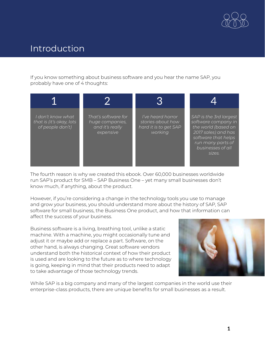

# Introduction

If you know something about business software and you hear the name SAP, you probably have one of 4 thoughts:



The fourth reason is why we created this ebook. Over 60,000 businesses worldwide run SAP's product for SMB – SAP Business One – yet many small businesses don't know much, if anything, about the product.

However, if you're considering a change in the technology tools you use to manage and grow your business, you should understand more about the history of SAP, SAP software for small business, the Business One product, and how that information can affect the success of your business.

Business software is a living, breathing tool, unlike a static machine. With a machine, you might occasionally tune and adjust it or maybe add or replace a part. Software, on the other hand, is always changing. Great software vendors understand both the historical context of how their product is used and are looking to the future as to where technology is going, keeping in mind that their products need to adapt to take advantage of those technology trends.



While SAP is a big company and many of the largest companies in the world use their enterprise-class products, there are unique benefits for small businesses as a result.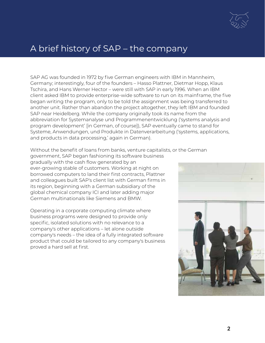

# A brief history of SAP – the company

SAP AG was founded in 1972 by five German engineers with IBM in Mannheim, Germany; interestingly, four of the founders – Hasso Plattner, Dietmar Hopp, Klaus Tschira, and Hans Werner Hector – were still with SAP in early 1996. When an IBM client asked IBM to provide enterprise-wide software to run on its mainframe, the five began writing the program, only to be told the assignment was being transferred to another unit. Rather than abandon the project altogether, they left IBM and founded SAP near Heidelberg. While the company originally took its name from the abbreviation for Systemanalyse und Programmenentwicklung ('systems analysis and program development' [in German, of course]), SAP eventually came to stand for Systeme, Anwendungen, und Produkte in Datenverarbeitung ('systems, applications, and products in data processing,' again in German).

Without the benefit of loans from banks, venture capitalists, or the German

government, SAP began fashioning its software business gradually with the cash flow generated by an ever-growing stable of customers. Working at night on borrowed computers to land their first contracts, Plattner and colleagues built SAP's client list with German firms in its region, beginning with a German subsidiary of the global chemical company ICI and later adding major German multinationals like Siemens and BMW.

Operating in a corporate computing climate where business programs were designed to provide only specific, isolated solutions with no relevance to a company's other applications – let alone outside company's needs – the idea of a fully integrated software product that could be tailored to any company's business proved a hard sell at first.

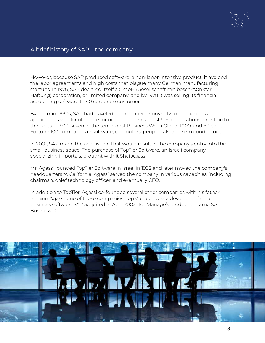### A brief history of SAP – the company

However, because SAP produced software, a non-labor-intensive product, it avoided the labor agreements and high costs that plague many German manufacturing startups. In 1976, SAP declared itself a GmbH (Gesellschaft mit beschrĤnkter Haftung) corporation, or limited company, and by 1978 it was selling its financial accounting software to 40 corporate customers.

By the mid-1990s, SAP had traveled from relative anonymity to the business applications vendor of choice for nine of the ten largest U.S. corporations, one-third of the Fortune 500, seven of the ten largest Business Week Global 1000, and 80% of the Fortune 100 companies in software, computers, peripherals, and semiconductors.

In 2001, SAP made the acquisition that would result in the company's entry into the small business space. The purchase of TopTier Software, an Israeli company specializing in portals, brought with it Shai Agassi.

Mr. Agassi founded TopTier Software in Israel in 1992 and later moved the company's headquarters to California. Agassi served the company in various capacities, including chairman, chief technology officer, and eventually CEO.

In addition to TopTier, Agassi co-founded several other companies with his father, Reuven Agassi; one of those companies, TopManage, was a developer of small business software SAP acquired in April 2002. TopManage's product became SAP Business One.

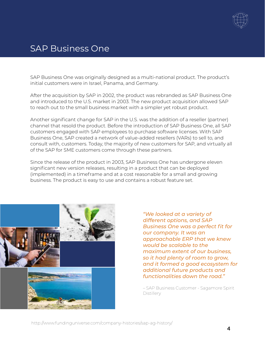

# SAP Business One

SAP Business One was originally designed as a multi-national product. The product's initial customers were in Israel, Panama, and Germany.

After the acquisition by SAP in 2002, the product was rebranded as SAP Business One and introduced to the U.S. market in 2003. The new product acquisition allowed SAP to reach out to the small business market with a simpler yet robust product.

Another significant change for SAP in the U.S. was the addition of a reseller (partner) channel that resold the product. Before the introduction of SAP Business One, all SAP customers engaged with SAP employees to purchase software licenses. With SAP Business One, SAP created a network of value-added resellers (VARs) to sell to, and consult with, customers. Today, the majority of new customers for SAP, and virtually all of the SAP for SME customers come through these partners.

Since the release of the product in 2003, SAP Business One has undergone eleven significant new version releases, resulting in a product that can be deployed (implemented) in a timeframe and at a cost reasonable for a small and growing business. The product is easy to use and contains a robust feature set.



*"We looked at a variety of different options, and SAP Business One was a perfect fit for our company. It was an approachable ERP that we knew would be scalable to the maximum extent of our business, so it had plenty of room to grow, and it formed a good ecosystem for additional future products and functionalities down the road."*

– SAP Business Customer - Sagamore Spirit **Distillery**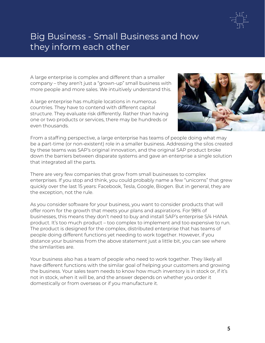

# Big Business - Small Business and how they inform each other

A large enterprise is complex and different than a smaller company – they aren't just a "grown-up" small business with more people and more sales. We intuitively understand this.

A large enterprise has multiple locations in numerous countries. They have to contend with different capital structure. They evaluate risk differently. Rather than having one or two products or services, there may be hundreds or even thousands.



From a staffing perspective, a large enterprise has teams of people doing what may be a part-time (or non-existent) role in a smaller business. Addressing the silos created by these teams was SAP's original innovation, and the original SAP product broke down the barriers between disparate systems and gave an enterprise a single solution that integrated all the parts.

There are very few companies that grow from small businesses to complex enterprises. If you stop and think, you could probably name a few "unicorns" that grew quickly over the last 15 years: Facebook, Tesla, Google, Biogen. But in general, they are the exception, not the rule.

As you consider software for your business, you want to consider products that will offer room for the growth that meets your plans and aspirations. For 98% of businesses, this means they don't need to buy and install SAP's enterprise S/4 HANA product. It's too much product – too complex to implement and too expensive to run. The product is designed for the complex, distributed enterprise that has teams of people doing different functions yet needing to work together. However, if you distance your business from the above statement just a little bit, you can see where the similarities are.

Your business also has a team of people who need to work together. They likely all have different functions with the similar goal of helping your customers and growing the business. Your sales team needs to know how much inventory is in stock or, if it's not in stock, when it will be, and the answer depends on whether you order it domestically or from overseas or if you manufacture it.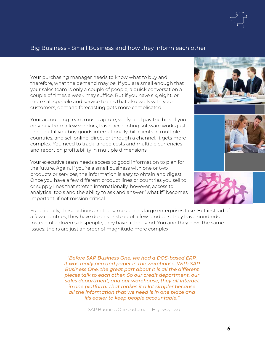

Your purchasing manager needs to know what to buy and, therefore, what the demand may be. If you are small enough that your sales team is only a couple of people, a quick conversation a couple of times a week may suffice. But if you have six, eight, or more salespeople and service teams that also work with your customers, demand forecasting gets more complicated.

Your accounting team must capture, verify, and pay the bills. If you only buy from a few vendors, basic accounting software works just fine – but if you buy goods internationally, bill clients in multiple countries, and sell online, direct or through a channel, it gets more complex. You need to track landed costs and multiple currencies and report on profitability in multiple dimensions.

Your executive team needs access to good information to plan for the future. Again, if you're a small business with one or two products or services, the information is easy to obtain and digest. Once you have a few different product lines or countries you sell to or supply lines that stretch internationally, however, access to analytical tools and the ability to ask and answer "what if" becomes important, if not mission critical.

Functionally, these actions are the same actions large enterprises take. But instead of a few countries, they have dozens. Instead of a few products, they have hundreds. Instead of a dozen salespeople, they have a thousand. You and they have the same issues; theirs are just an order of magnitude more complex.

> *"Before SAP Business One, we had a DOS-based ERP. It was really pen and paper in the warehouse. With SAP Business One, the great part about it is all the different pieces talk to each other. So our credit department, our sales department, and our warehouse, they all interact in one platform. That makes it a lot simpler because all the information that we need is in one place and it's easier to keep people accountable."*

> > – SAP Business One customer - Highway Two



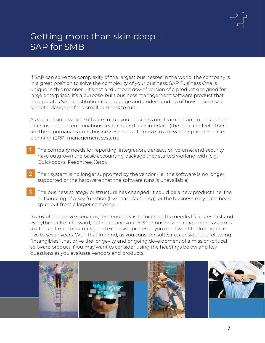

# Getting more than skin deep – SAP for SMB

If SAP can solve the complexity of the largest businesses in the world, the company is in a great position to solve the complexity of your business. SAP Business One is unique in this manner – it's not a "dumbed down" version of a product designed for large enterprises, it's a purpose-built business management software product that incorporates SAP's institutional knowledge and understanding of how businesses operate, designed for a small business to run.

As you consider which software to run your business on, it's important to look deeper than just the current functions, features, and user interface (the look and feel). There are three primary reasons businesses choose to move to a new enterprise resource planning (ERP) management system:

- The company needs for reporting, integration, transaction volume, and security have outgrown the basic accounting package they started working with (e.g., Quickbooks, Peachtree, Xero). 1
- Their system is no longer supported by the vendor (i.e., the software is no longer supported or the hardware that the software runs is unavailable). 2
- The business strategy or structure has changed. It could be a new product line, the outsourcing of a key function (like manufacturing), or the business may have been spun out from a larger company. 3

In any of the above scenarios, the tendency is to focus on the needed features first and everything else afterward, but changing your ERP or business management system is a difficult, time-consuming, and expensive process – you don't want to do it again in five to seven years. With that in mind, as you consider software, consider the following "intangibles" that drive the longevity and ongoing development of a mission-critical software product. (You may want to consider using the headings below and key questions as you evaluate vendors and products.)

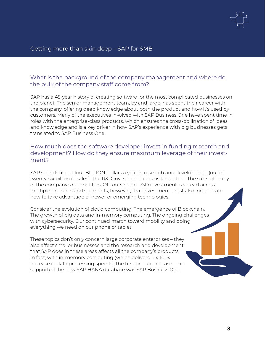#### $\theta$  best in a pure then alim does  $\theta$  one  $\theta$  for SAP Getting more than skin deep – SAP for SMB

### What is the background of the company management and where do the bulk of the company staff come from?

SAP has a 45-year history of creating software for the most complicated businesses on the planet. The senior management team, by and large, has spent their career with the company, offering deep knowledge about both the product and how it's used by customers. Many of the executives involved with SAP Business One have spent time in roles with the enterprise-class products, which ensures the cross-pollination of ideas and knowledge and is a key driver in how SAP's experience with big businesses gets translated to SAP Business One.

### How much does the software developer invest in funding research and development? How do they ensure maximum leverage of their investment?

SAP spends about four BILLION dollars a year in research and development (out of twenty-six billion in sales). The R&D investment alone is larger than the sales of many of the company's competitors. Of course, that R&D investment is spread across multiple products and segments; however, that investment must also incorporate how to take advantage of newer or emerging technologies.

Consider the evolution of cloud computing. The emergence of Blockchain. The growth of big data and in-memory computing. The ongoing challenges with cybersecurity. Our continued march toward mobility and doing everything we need on our phone or tablet.

These topics don't only concern large corporate enterprises – they also affect smaller businesses and the research and development that SAP does in these areas affects all the company's products. In fact, with in-memory computing (which delivers 10x-100x increase in data processing speeds), the first product release that supported the new SAP HANA database was SAP Business One.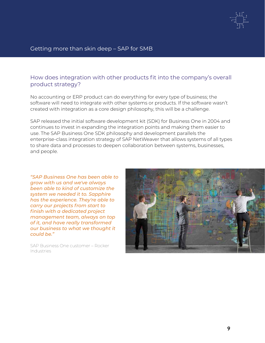

#### $\theta$  best in a pure then alim does  $\theta$  one  $\theta$  for SAP Getting more than skin deep – SAP for SMB

# How does integration with other products fit into the company's overall product strategy?

No accounting or ERP product can do everything for every type of business; the software will need to integrate with other systems or products. If the software wasn't created with integration as a core design philosophy, this will be a challenge.

SAP released the initial software development kit (SDK) for Business One in 2004 and continues to invest in expanding the integration points and making them easier to use. The SAP Business One SDK philosophy and development parallels the enterprise-class integration strategy of SAP NetWeaver that allows systems of all types to share data and processes to deepen collaboration between systems, businesses, and people.

*"SAP Business One has been able to grow with us and we've always been able to kind of customize the system we needed it to. Sapphire has the experience. They're able to carry our projects from start to finish with a dedicated project management team, always on top of it, and have really transformed our business to what we thought it could be."*

SAP Business One customer – Rocker Industries

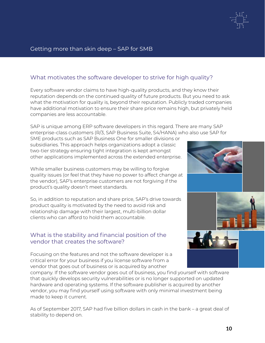

#### $\mathcal B$  big Business and the each other theory in  $\mathcal B$ AP  $\mathcal B$ usiness ON $\mathcal B$ Getting more than skin deep – SAP for SMB

# What motivates the software developer to strive for high quality?

Every software vendor claims to have high-quality products, and they know their reputation depends on the continued quality of future products. But you need to ask what the motivation for quality is, beyond their reputation. Publicly traded companies have additional motivation to ensure their share price remains high, but privately held companies are less accountable.

SAP is unique among ERP software developers in this regard. There are many SAP enterprise-class customers (R/3, SAP Business Suite, S4/HANA) who also use SAP for

SME products such as SAP Business One for smaller divisions or subsidiaries. This approach helps organizations adopt a classic two-tier strategy ensuring tight integration is kept amongst other applications implemented across the extended enterprise.

While smaller business customers may be willing to forgive quality issues (or feel that they have no power to affect change at the vendor), SAP's enterprise customers are not forgiving if the product's quality doesn't meet standards.

So, in addition to reputation and share price, SAP's drive towards product quality is motivated by the need to avoid risk and relationship damage with their largest, multi-billion dollar clients who can afford to hold them accountable.

# What is the stability and financial position of the vendor that creates the software?

Focusing on the features and not the software developer is a critical error for your business if you license software from a vendor that goes out of business or is acquired by another

company. If the software vendor goes out of business, you find yourself with software that quickly develops security vulnerabilities or is no longer supported on updated hardware and operating systems. If the software publisher is acquired by another vendor, you may find yourself using software with only minimal investment being made to keep it current.

As of September 2017, SAP had five billion dollars in cash in the bank – a great deal of stability to depend on.

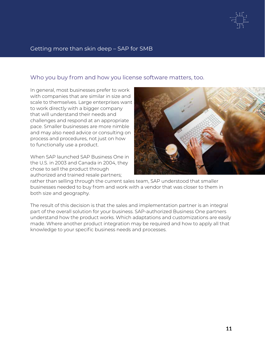### Getting more than skin deep – SAP for SMB

### Who you buy from and how you license software matters, too.

In general, most businesses prefer to work with companies that are similar in size and scale to themselves. Large enterprises want to work directly with a bigger company that will understand their needs and challenges and respond at an appropriate pace. Smaller businesses are more nimble and may also need advice or consulting on process and procedures, not just on how to functionally use a product.

When SAP launched SAP Business One in the U.S. in 2003 and Canada in 2004, they chose to sell the product through authorized and trained resale partners;



rather than selling through the current sales team, SAP understood that smaller businesses needed to buy from and work with a vendor that was closer to them in both size and geography.

The result of this decision is that the sales and implementation partner is an integral part of the overall solution for your business. SAP-authorized Business One partners understand how the product works. Which adaptations and customizations are easily made. Where another product integration may be required and how to apply all that knowledge to your specific business needs and processes.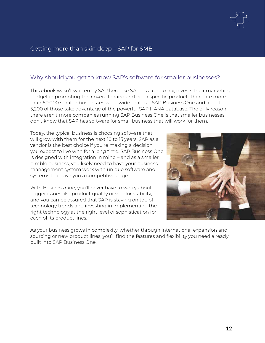

### Getting more than skin deep – SAP for SMB

### Why should you get to know SAP's software for smaller businesses?

This ebook wasn't written by SAP because SAP, as a company, invests their marketing budget in promoting their overall brand and not a specific product. There are more than 60,000 smaller businesses worldwide that run SAP Business One and about 5,200 of those take advantage of the powerful SAP HANA database. The only reason there aren't more companies running SAP Business One is that smaller businesses don't know that SAP has software for small business that will work for them.

Today, the typical business is choosing software that will grow with them for the next 10 to 15 years. SAP as a vendor is the best choice if you're making a decision you expect to live with for a long time. SAP Business One is designed with integration in mind – and as a smaller, nimble business, you likely need to have your business management system work with unique software and systems that give you a competitive edge.

With Business One, you'll never have to worry about bigger issues like product quality or vendor stability, and you can be assured that SAP is staying on top of technology trends and investing in implementing the right technology at the right level of sophistication for each of its product lines.



As your business grows in complexity, whether through international expansion and sourcing or new product lines, you'll find the features and flexibility you need already built into SAP Business One.